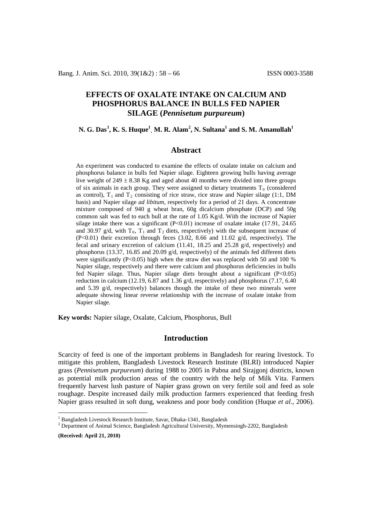# **EFFECTS OF OXALATE INTAKE ON CALCIUM AND PHOSPHORUS BALANCE IN BULLS FED NAPIER SILAGE (***Pennisetum purpureum***)**

# **N. G. Das[1](#page-0-0) , K. S. Huque1 , M. R. Alam[2](#page-0-1) , N. Sultana1 and S. M. Amanullah1**

### **Abstract**

An experiment was conducted to examine the effects of oxalate intake on calcium and phosphorus balance in bulls fed Napier silage. Eighteen growing bulls having average live weight of  $249 \pm 8.38$  Kg and aged about 40 months were divided into three groups of six animals in each group. They were assigned to dietary treatments  $T_0$  (considered as control),  $T_1$  and  $T_2$  consisting of rice straw, rice straw and Napier silage (1:1, DM basis) and Napier silage *ad libitum*, respectively for a period of 21 days. A concentrate mixture composed of 940 g wheat bran, 60g dicalcium phosphate (DCP) and 50g common salt was fed to each bull at the rate of 1.05 Kg/d. With the increase of Napier silage intake there was a significant  $(P<0.01)$  increase of oxalate intake (17.91, 24.65) and 30.97 g/d, with  $T_0$ ,  $T_1$  and  $T_2$  diets, respectively) with the subsequent increase of (P<0.01) their excretion through feces (3.02, 8.66 and 11.02 g/d, respectively). The fecal and urinary excretion of calcium  $(11.41, 18.25, 18.25, 28.26)$  g/d, respectively) and phosphorus (13.37, 16.85 and 20.09 g/d, respectively) of the animals fed different diets were significantly  $(P<0.05)$  high when the straw diet was replaced with 50 and 100 % Napier silage, respectively and there were calcium and phosphorus deficiencies in bulls fed Napier silage. Thus, Napier silage diets brought about a significant (P<0.05) reduction in calcium (12.19, 6.87 and 1.36 g/d, respectively) and phosphorus (7.17, 6.40 and 5.39  $g/d$ , respectively) balances though the intake of these two minerals were adequate showing linear reverse relationship with the increase of oxalate intake from Napier silage.

**Key words:** Napier silage, Oxalate, Calcium, Phosphorus, Bull

## **Introduction**

Scarcity of feed is one of the important problems in Bangladesh for rearing livestock. To mitigate this problem, Bangladesh Livestock Research Institute (BLRI) introduced Napier grass (*Pennisetum purpureum*) during 1988 to 2005 in Pabna and Sirajgonj districts, known as potential milk production areas of the country with the help of Milk Vita. Farmers frequently harvest lush pasture of Napier grass grown on very fertile soil and feed as sole roughage. Despite increased daily milk production farmers experienced that feeding fresh Napier grass resulted in soft dung, weakness and poor body condition (Huque *et al*., 2006).

**(Received: April 21, 2010)**

<span id="page-0-1"></span><span id="page-0-0"></span><sup>&</sup>lt;sup>1</sup> Bangladesh Livestock Research Institute, Savar, Dhaka-1341, Bangladesh  $\frac{2}{3}$  Department of Animal Science, Bangladesh Agricultural University, Mymensingh-2202, Bangladesh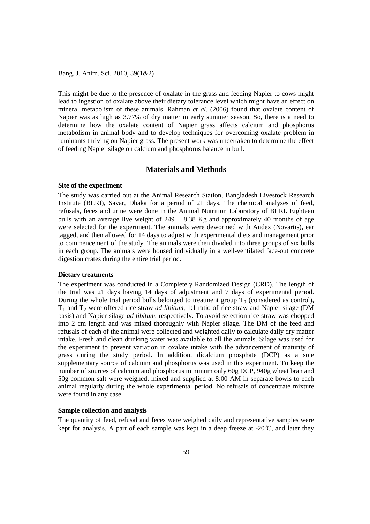This might be due to the presence of oxalate in the grass and feeding Napier to cows might lead to ingestion of oxalate above their dietary tolerance level which might have an effect on mineral metabolism of these animals. Rahman *et al.* (2006) found that oxalate content of Napier was as high as 3.77% of dry matter in early summer season. So, there is a need to determine how the oxalate content of Napier grass affects calcium and phosphorus metabolism in animal body and to develop techniques for overcoming oxalate problem in ruminants thriving on Napier grass. The present work was undertaken to determine the effect of feeding Napier silage on calcium and phosphorus balance in bull.

## **Materials and Methods**

### **Site of the experiment**

The study was carried out at the Animal Research Station, Bangladesh Livestock Research Institute (BLRI), Savar, Dhaka for a period of 21 days. The chemical analyses of feed, refusals, feces and urine were done in the Animal Nutrition Laboratory of BLRI. Eighteen bulls with an average live weight of  $249 \pm 8.38$  Kg and approximately 40 months of age were selected for the experiment. The animals were dewormed with Andex (Novartis), ear tagged, and then allowed for 14 days to adjust with experimental diets and management prior to commencement of the study. The animals were then divided into three groups of six bulls in each group. The animals were housed individually in a well-ventilated face-out concrete digestion crates during the entire trial period.

### **Dietary treatments**

The experiment was conducted in a Completely Randomized Design (CRD). The length of the trial was 21 days having 14 days of adjustment and 7 days of experimental period. During the whole trial period bulls belonged to treatment group  $T_0$  (considered as control), T1 and T2 were offered rice straw *ad libitum*, 1:1 ratio of rice straw and Napier silage (DM basis) and Napier silage *ad libitum*, respectively. To avoid selection rice straw was chopped into 2 cm length and was mixed thoroughly with Napier silage. The DM of the feed and refusals of each of the animal were collected and weighted daily to calculate daily dry matter intake. Fresh and clean drinking water was available to all the animals. Silage was used for the experiment to prevent variation in oxalate intake with the advancement of maturity of grass during the study period. In addition, dicalcium phosphate (DCP) as a sole supplementary source of calcium and phosphorus was used in this experiment. To keep the number of sources of calcium and phosphorus minimum only 60g DCP, 940g wheat bran and 50g common salt were weighed, mixed and supplied at 8:00 AM in separate bowls to each animal regularly during the whole experimental period. No refusals of concentrate mixture were found in any case.

#### **Sample collection and analysis**

The quantity of feed, refusal and feces were weighed daily and representative samples were kept for analysis. A part of each sample was kept in a deep freeze at  $-20^{\circ}$ C, and later they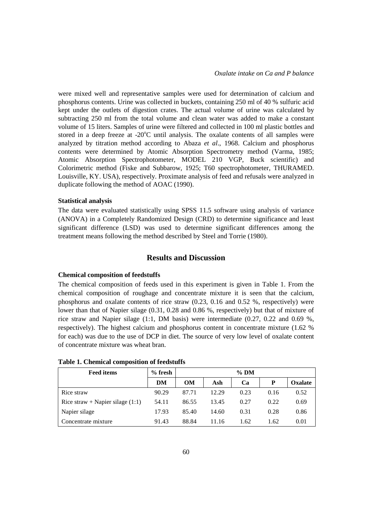were mixed well and representative samples were used for determination of calcium and phosphorus contents. Urine was collected in buckets, containing 250 ml of 40 % sulfuric acid kept under the outlets of digestion crates. The actual volume of urine was calculated by subtracting 250 ml from the total volume and clean water was added to make a constant volume of 15 liters. Samples of urine were filtered and collected in 100 ml plastic bottles and stored in a deep freeze at -20 $^{\circ}$ C until analysis. The oxalate contents of all samples were analyzed by titration method according to Abaza *et al*., 1968. Calcium and phosphorus contents were determined by Atomic Absorption Spectrometry method (Varma, 1985; Atomic Absorption Spectrophotometer, MODEL 210 VGP, Buck scientific) and Colorimetric method (Fiske and Subbarow, 1925; T60 spectrophotometer, THURAMED. Louisville, KY. USA), respectively. Proximate analysis of feed and refusals were analyzed in duplicate following the method of AOAC (1990).

### **Statistical analysis**

The data were evaluated statistically using SPSS 11.5 software using analysis of variance (ANOVA) in a Completely Randomized Design (CRD) to determine significance and least significant difference (LSD) was used to determine significant differences among the treatment means following the method described by Steel and Torrie (1980).

# **Results and Discussion**

#### **Chemical composition of feedstuffs**

The chemical composition of feeds used in this experiment is given in Table 1. From the chemical composition of roughage and concentrate mixture it is seen that the calcium, phosphorus and oxalate contents of rice straw (0.23, 0.16 and 0.52 %, respectively) were lower than that of Napier silage (0.31, 0.28 and 0.86 %, respectively) but that of mixture of rice straw and Napier silage  $(1:1, DM$  basis) were intermediate  $(0.27, 0.22, and 0.69, %$ respectively). The highest calcium and phosphorus content in concentrate mixture (1.62 % for each) was due to the use of DCP in diet. The source of very low level of oxalate content of concentrate mixture was wheat bran.

| <b>Feed items</b>                  | $%$ fresh | $%$ DM    |       |      |      |         |
|------------------------------------|-----------|-----------|-------|------|------|---------|
|                                    | DM        | <b>OM</b> | Ash   | Ca   | P    | Oxalate |
| Rice straw                         | 90.29     | 87.71     | 12.29 | 0.23 | 0.16 | 0.52    |
| Rice straw + Napier silage $(1:1)$ | 54.11     | 86.55     | 13.45 | 0.27 | 0.22 | 0.69    |
| Napier silage                      | 17.93     | 85.40     | 14.60 | 0.31 | 0.28 | 0.86    |
| Concentrate mixture                | 91.43     | 88.84     | 11.16 | 1.62 | 1.62 | 0.01    |

**Table 1. Chemical composition of feedstuffs**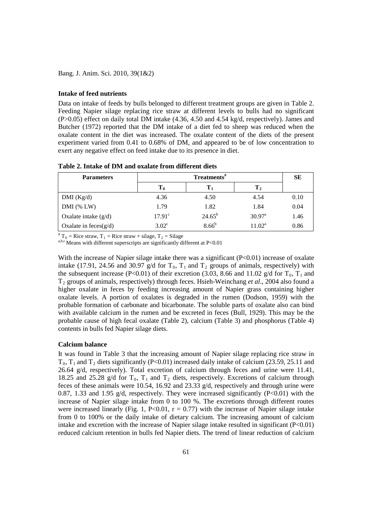### **Intake of feed nutrients**

Data on intake of feeds by bulls belonged to different treatment groups are given in Table 2. Feeding Napier silage replacing rice straw at different levels to bulls had no significant (P>0.05) effect on daily total DM intake (4.36, 4.50 and 4.54 kg/d, respectively). James and Butcher (1972) reported that the DM intake of a diet fed to sheep was reduced when the oxalate content in the diet was increased. The oxalate content of the diets of the present experiment varied from 0.41 to 0.68% of DM, and appeared to be of low concentration to exert any negative effect on feed intake due to its presence in diet.

**Table 2. Intake of DM and oxalate from different diets**

| <b>Parameters</b>        | Treatments <sup>#</sup> |                     |                    | <b>SE</b> |
|--------------------------|-------------------------|---------------------|--------------------|-----------|
|                          | $T_0$                   | $\mathbf{T}_1$      | $\bf{T}_2$         |           |
| DMI (Kg/d)               | 4.36                    | 4.50                | 4.54               | 0.10      |
| $DMI$ (% LW)             | 1.79                    | 1.82                | 1.84               | 0.04      |
| Oxalate intake $(g/d)$   | 17.91 <sup>c</sup>      | $24.65^{b}$         | $30.97^{\text{a}}$ | 1.46      |
| Oxalate in feces $(g/d)$ | $3.02^{\circ}$          | $8.66^{\mathrm{b}}$ | $11.02^a$          | 0.86      |

<sup>#</sup> T<sub>0</sub> = Rice straw, T<sub>1</sub> = Rice straw + silage, T<sub>2</sub> = Silage

a,b,c Means with different superscripts are significantly different at P<0.01

With the increase of Napier silage intake there was a significant  $(P<0.01)$  increase of oxalate intake (17.91, 24.56 and 30.97 g/d for  $T_0$ ,  $T_1$  and  $T_2$  groups of animals, respectively) with the subsequent increase (P<0.01) of their excretion (3.03, 8.66 and 11.02 g/d for  $T_0$ ,  $T_1$  and T2 groups of animals, respectively) through feces. Hsieh-Weinchang *et al*., 2004 also found a higher oxalate in feces by feeding increasing amount of Napier grass containing higher oxalate levels. A portion of oxalates is degraded in the rumen (Dodson, 1959) with the probable formation of carbonate and bicarbonate. The soluble parts of oxalate also can bind with available calcium in the rumen and be excreted in feces (Bull, 1929). This may be the probable cause of high fecal oxalate (Table 2), calcium (Table 3) and phosphorus (Table 4) contents in bulls fed Napier silage diets.

### **Calcium balance**

It was found in Table 3 that the increasing amount of Napier silage replacing rice straw in  $T_0$ ,  $T_1$  and  $T_2$  diets significantly (P<0.01) increased daily intake of calcium (23.59, 25.11 and 26.64 g/d, respectively). Total excretion of calcium through feces and urine were 11.41, 18.25 and 25.28 g/d for  $T_0$ ,  $T_1$  and  $T_2$  diets, respectively. Excretions of calcium through feces of these animals were 10.54, 16.92 and 23.33  $g/d$ , respectively and through urine were 0.87, 1.33 and 1.95 g/d, respectively. They were increased significantly  $(P<0.01)$  with the increase of Napier silage intake from 0 to 100 %. The excretions through different routes were increased linearly (Fig. 1, P<0.01,  $r = 0.77$ ) with the increase of Napier silage intake from 0 to 100% or the daily intake of dietary calcium. The increasing amount of calcium intake and excretion with the increase of Napier silage intake resulted in significant (P<0.01) reduced calcium retention in bulls fed Napier diets. The trend of linear reduction of calcium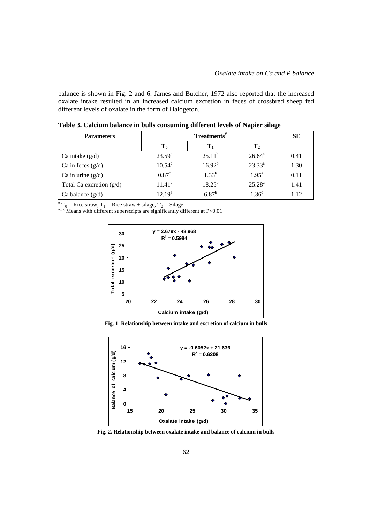balance is shown in Fig. 2 and 6. James and Butcher, 1972 also reported that the increased oxalate intake resulted in an increased calcium excretion in feces of crossbred sheep fed different levels of oxalate in the form of Halogeton.

| <b>Parameters</b>          | Treatments <sup>#</sup> |                |                   | <b>SE</b> |
|----------------------------|-------------------------|----------------|-------------------|-----------|
|                            | T <sub>0</sub>          | $\mathbf{T}_1$ | $\bf{T}_2$        |           |
| Ca intake $(g/d)$          | $23.59^{\circ}$         | $25.11^b$      | $26.64^{\circ}$   | 0.41      |
| Ca in feces $(g/d)$        | $10.54^{\circ}$         | $16.92^{b}$    | $23.33^{a}$       | 1.30      |
| Ca in urine $(g/d)$        | $0.87^{\circ}$          | $1.33^{b}$     | $1.95^{\text{a}}$ | 0.11      |
| Total Ca excretion $(g/d)$ | $11.41^{\circ}$         | $18.25^{b}$    | $25.28^{a}$       | 1.41      |
| Ca balance $(g/d)$         | $12.19^a$               | $6.87^{b}$     | 1.36 <sup>c</sup> | 1.12      |

**Table 3. Calcium balance in bulls consuming different levels of Napier silage**

 $T_0$  = Rice straw, T<sub>1</sub> = Rice straw + silage, T<sub>2</sub> = Silage

a,b,c Means with different superscripts are significantly different at P<0.01



**Fig. 1. Relationship between intake and excretion of calcium in bulls**



**Fig. 2. Relationship between oxalate intake and balance of calcium in bulls**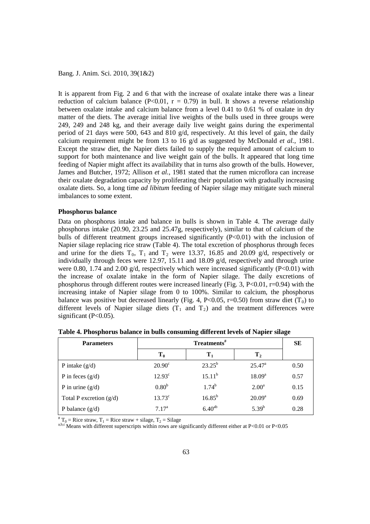It is apparent from Fig. 2 and 6 that with the increase of oxalate intake there was a linear reduction of calcium balance (P<0.01,  $r = 0.79$ ) in bull. It shows a reverse relationship between oxalate intake and calcium balance from a level 0.41 to 0.61 % of oxalate in dry matter of the diets. The average initial live weights of the bulls used in three groups were 249, 249 and 248 kg, and their average daily live weight gains during the experimental period of 21 days were 500, 643 and 810  $g/d$ , respectively. At this level of gain, the daily calcium requirement might be from 13 to 16 g/d as suggested by McDonald *et al.*, 1981. Except the straw diet, the Napier diets failed to supply the required amount of calcium to support for both maintenance and live weight gain of the bulls. It appeared that long time feeding of Napier might affect its availability that in turns also growth of the bulls. However, James and Butcher, 1972; Allison *et al.*, 1981 stated that the rumen microflora can increase their oxalate degradation capacity by proliferating their population with gradually increasing oxalate diets. So, a long time *ad libitum* feeding of Napier silage may mitigate such mineral imbalances to some extent.

#### **Phosphorus balance**

Data on phosphorus intake and balance in bulls is shown in Table 4. The average daily phosphorus intake (20.90, 23.25 and 25.47g, respectively), similar to that of calcium of the bulls of different treatment groups increased significantly (P<0.01) with the inclusion of Napier silage replacing rice straw (Table 4). The total excretion of phosphorus through feces and urine for the diets  $T_0$ ,  $T_1$  and  $T_2$  were 13.37, 16.85 and 20.09 g/d, respectively or individually through feces were 12.97, 15.11 and 18.09 g/d, respectively and through urine were 0.80, 1.74 and 2.00  $g/d$ , respectively which were increased significantly (P<0.01) with the increase of oxalate intake in the form of Napier silage. The daily excretions of phosphorus through different routes were increased linearly (Fig. 3, P<0.01,  $r=0.94$ ) with the increasing intake of Napier silage from 0 to 100%. Similar to calcium, the phosphorus balance was positive but decreased linearly (Fig. 4, P<0.05, r=0.50) from straw diet (T<sub>0</sub>) to different levels of Napier silage diets  $(T_1 \text{ and } T_2)$  and the treatment differences were significant (P<0.05).

| <b>Parameters</b>         | Treatments <sup>#</sup> |                |                   | <b>SE</b> |
|---------------------------|-------------------------|----------------|-------------------|-----------|
|                           | $T_{0}$                 | $\mathbf{T}_1$ | $\mathbf{T}_2$    |           |
| P intake $(g/d)$          | $20.90^{\circ}$         | $23.25^{b}$    | $25.47^{\circ}$   | 0.50      |
| P in feces $(g/d)$        | 12.93 <sup>c</sup>      | $15.11^{b}$    | $18.09^{a}$       | 0.57      |
| P in urine $(g/d)$        | 0.80 <sup>b</sup>       | $1.74^{b}$     | 2.00 <sup>a</sup> | 0.15      |
| Total P excretion $(g/d)$ | $13.73^{\circ}$         | $16.85^{b}$    | $20.09^a$         | 0.69      |
| P balance $(g/d)$         | 7.17 <sup>a</sup>       | $6.40^{ab}$    | $5.39^{b}$        | 0.28      |

**Table 4. Phosphorus balance in bulls consuming different levels of Napier silage**

 $T_0$  = Rice straw, T<sub>1</sub> = Rice straw + silage, T<sub>2</sub> = Silage

a,b,c Means with different superscripts within rows are significantly different either at P<0.01 or P<0.05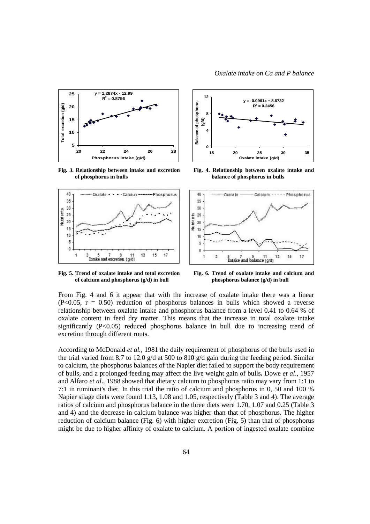

**Fig. 3. Relationship between intake and excretion of phosphorus in bulls**



**Fig. 4. Relationship between oxalate intake and balance of phosphorus in bulls**



**Fig. 5. Trend of oxalate intake and total excretion of calcium and phosphorus (g/d) in bull**

**Fig. 6. Trend of oxalate intake and calcium and phosphorus balance (g/d) in bull**

From Fig. 4 and 6 it appear that with the increase of oxalate intake there was a linear  $(P<0.05, r = 0.50)$  reduction of phosphorus balances in bulls which showed a reverse relationship between oxalate intake and phosphorus balance from a level 0.41 to 0.64 % of oxalate content in feed dry matter. This means that the increase in total oxalate intake significantly (P<0.05) reduced phosphorus balance in bull due to increasing trend of excretion through different routs.

According to McDonald *et al.,* 1981 the daily requirement of phosphorus of the bulls used in the trial varied from 8.7 to 12.0 g/d at 500 to 810 g/d gain during the feeding period. Similar to calcium, the phosphorus balances of the Napier diet failed to support the body requirement of bulls, and a prolonged feeding may affect the live weight gain of bulls**.** Dowe *et al*., 1957 and Alfaro *et al*., 1988 showed that dietary calcium to phosphorus ratio may vary from 1:1 to 7:1 in ruminant's diet. In this trial the ratio of calcium and phosphorus in 0, 50 and 100 % Napier silage diets were found 1.13, 1.08 and 1.05, respectively (Table 3 and 4). The average ratios of calcium and phosphorus balance in the three diets were 1.70, 1.07 and 0.25 (Table 3 and 4) and the decrease in calcium balance was higher than that of phosphorus. The higher reduction of calcium balance (Fig. 6) with higher excretion (Fig. 5) than that of phosphorus might be due to higher affinity of oxalate to calcium. A portion of ingested oxalate combine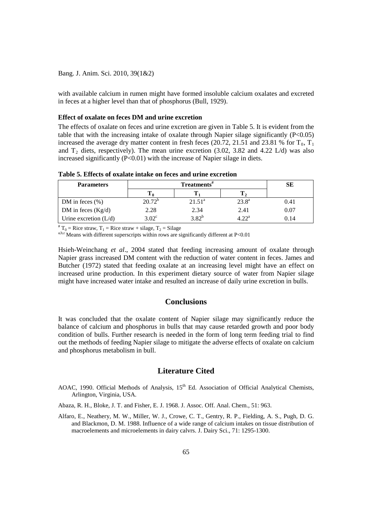with available calcium in rumen might have formed insoluble calcium oxalates and excreted in feces at a higher level than that of phosphorus (Bull, 1929).

#### **Effect of oxalate on feces DM and urine excretion**

The effects of oxalate on feces and urine excretion are given in Table 5. It is evident from the table that with the increasing intake of oxalate through Napier silage significantly (P<0.05) increased the average dry matter content in fresh feces (20.72, 21.51 and 23.81 % for  $T_0$ ,  $T_1$ and  $T_2$  diets, respectively). The mean urine excretion (3.02, 3.82 and 4.22 L/d) was also increased significantly  $(P<0.01)$  with the increase of Napier silage in diets.

| <b>Parameters</b>       | Treatments"    |            |                | SЕ   |
|-------------------------|----------------|------------|----------------|------|
|                         |                |            |                |      |
| DM in feces $(\% )$     | $20.72^b$      | $21.51^a$  | $23.8^{\circ}$ | 0.41 |
| DM in feces $(Kg/d)$    | 2.28           | 2.34       | 2.41           | 0.07 |
| Urine excretion $(L/d)$ | $3.02^{\circ}$ | $3.82^{b}$ | $4.22^{\rm a}$ | 0.14 |

**Table 5. Effects of oxalate intake on feces and urine excretion**

<sup>#</sup> T<sub>0</sub> = Rice straw, T<sub>1</sub> = Rice straw + silage, T<sub>2</sub> = Silage

a,b,c Means with different superscripts within rows are significantly different at P<0.01

Hsieh-Weinchang *et al*., 2004 stated that feeding increasing amount of oxalate through Napier grass increased DM content with the reduction of water content in feces. James and Butcher (1972) stated that feeding oxalate at an increasing level might have an effect on increased urine production. In this experiment dietary source of water from Napier silage might have increased water intake and resulted an increase of daily urine excretion in bulls.

### **Conclusions**

It was concluded that the oxalate content of Napier silage may significantly reduce the balance of calcium and phosphorus in bulls that may cause retarded growth and poor body condition of bulls. Further research is needed in the form of long term feeding trial to find out the methods of feeding Napier silage to mitigate the adverse effects of oxalate on calcium and phosphorus metabolism in bull.

# **Literature Cited**

AOAC, 1990. Official Methods of Analysis, 15<sup>th</sup> Ed. Association of Official Analytical Chemists, Arlington, Virginia, USA.

Abaza, R. H., Bloke, J. T. and Fisher, E. J. 1968. J. Assoc. Off. Anal. Chem., 51: 963.

Alfaro, E., Neathery, M. W., Miller, W. J., Crowe, C. T., Gentry, R. P., Fielding, A. S., Pugh, D. G. and Blackmon, D. M. 1988. Influence of a wide range of calcium intakes on tissue distribution of macroelements and microelements in dairy calvrs. J. Dairy Sci., 71: 1295-1300.